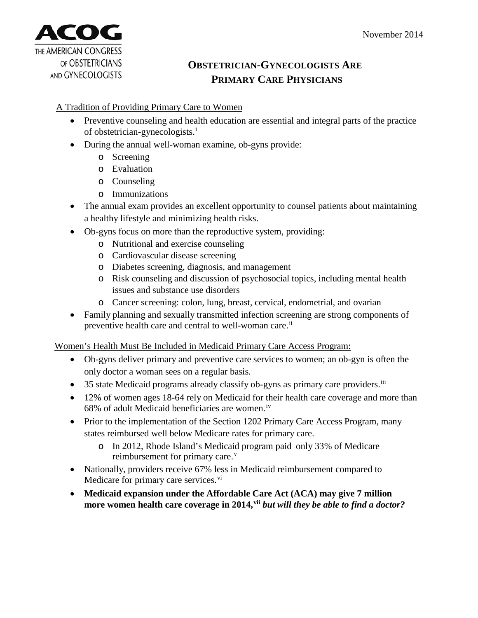

## **OBSTETRICIAN-GYNECOLOGISTS ARE PRIMARY CARE PHYSICIANS**

## A Tradition of Providing Primary Care to Women

- Preventive counseling and health education are essential and integral parts of the practice of obstetrician-gynecologists.[i](#page-1-0)
- During the annual well-woman examine, ob-gyns provide:
	- o Screening
	- o Evaluation
	- o Counseling
	- o Immunizations
- The annual exam provides an excellent opportunity to counsel patients about maintaining a healthy lifestyle and minimizing health risks.
- Ob-gyns focus on more than the reproductive system, providing:
	- o Nutritional and exercise counseling
	- o Cardiovascular disease screening
	- o Diabetes screening, diagnosis, and management
	- o Risk counseling and discussion of psychosocial topics, including mental health issues and substance use disorders
	- o Cancer screening: colon, lung, breast, cervical, endometrial, and ovarian
- Family planning and sexually transmitted infection screening are strong components of preventive health care and central to well-woman care.<sup>[ii](#page-1-1)</sup>

Women's Health Must Be Included in Medicaid Primary Care Access Program:

- Ob-gyns deliver primary and preventive care services to women; an ob-gyn is often the only doctor a woman sees on a regular basis.
- 35 state Medicaid programs already classify ob-gyns as primary care providers.<sup>[iii](#page-1-2)</sup>
- 12% of women ages 18-64 rely on Medicaid for their health care coverage and more than  $68\%$  of adult Medicaid beneficiaries are women.<sup>[iv](#page-1-3)</sup>
- Prior to the implementation of the Section 1202 Primary Care Access Program, many states reimbursed well below Medicare rates for primary care.
	- o In 2012, Rhode Island's Medicaid program paid only 33% of Medicare reimbursement for primary care.<sup>[v](#page-1-4)</sup>
- Nationally, providers receive 67% less in Medicaid reimbursement compared to Medicare for primary care ser[vi](#page-1-5)ces.<sup>vi</sup>
- **Medicaid expansion under the Affordable Care Act (ACA) may give 7 million more women health care coverage in 2014,[vii](#page-1-6)** *but will they be able to find a doctor?*